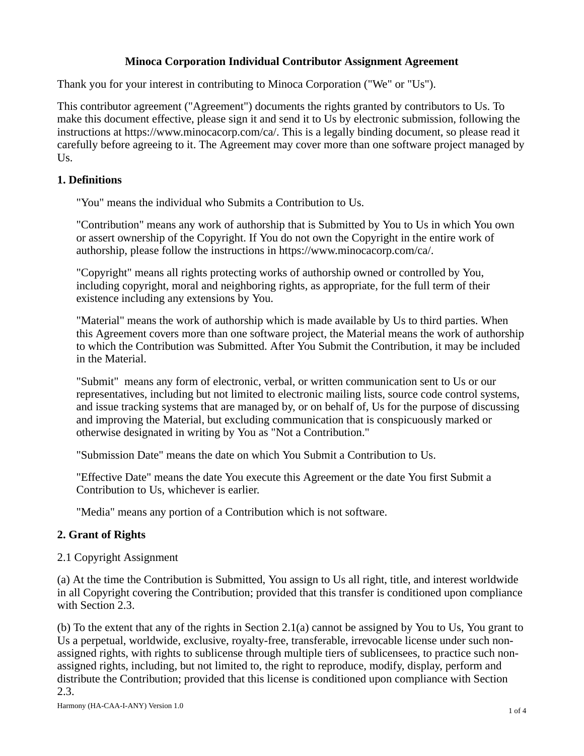## **Minoca Corporation Individual Contributor Assignment Agreement**

Thank you for your interest in contributing to Minoca Corporation ("We" or "Us").

This contributor agreement ("Agreement") documents the rights granted by contributors to Us. To make this document effective, please sign it and send it to Us by electronic submission, following the instructions at https://www.minocacorp.com/ca/. This is a legally binding document, so please read it carefully before agreeing to it. The Agreement may cover more than one software project managed by Us.

## **1. Definitions**

"You" means the individual who Submits a Contribution to Us.

"Contribution" means any work of authorship that is Submitted by You to Us in which You own or assert ownership of the Copyright. If You do not own the Copyright in the entire work of authorship, please follow the instructions in https://www.minocacorp.com/ca/.

"Copyright" means all rights protecting works of authorship owned or controlled by You, including copyright, moral and neighboring rights, as appropriate, for the full term of their existence including any extensions by You.

"Material" means the work of authorship which is made available by Us to third parties. When this Agreement covers more than one software project, the Material means the work of authorship to which the Contribution was Submitted. After You Submit the Contribution, it may be included in the Material.

"Submit" means any form of electronic, verbal, or written communication sent to Us or our representatives, including but not limited to electronic mailing lists, source code control systems, and issue tracking systems that are managed by, or on behalf of, Us for the purpose of discussing and improving the Material, but excluding communication that is conspicuously marked or otherwise designated in writing by You as "Not a Contribution."

"Submission Date" means the date on which You Submit a Contribution to Us.

"Effective Date" means the date You execute this Agreement or the date You first Submit a Contribution to Us, whichever is earlier.

"Media" means any portion of a Contribution which is not software.

#### **2. Grant of Rights**

#### 2.1 Copyright Assignment

(a) At the time the Contribution is Submitted, You assign to Us all right, title, and interest worldwide in all Copyright covering the Contribution; provided that this transfer is conditioned upon compliance with Section 2.3.

(b) To the extent that any of the rights in Section 2.1(a) cannot be assigned by You to Us, You grant to Us a perpetual, worldwide, exclusive, royalty-free, transferable, irrevocable license under such nonassigned rights, with rights to sublicense through multiple tiers of sublicensees, to practice such nonassigned rights, including, but not limited to, the right to reproduce, modify, display, perform and distribute the Contribution; provided that this license is conditioned upon compliance with Section 2.3.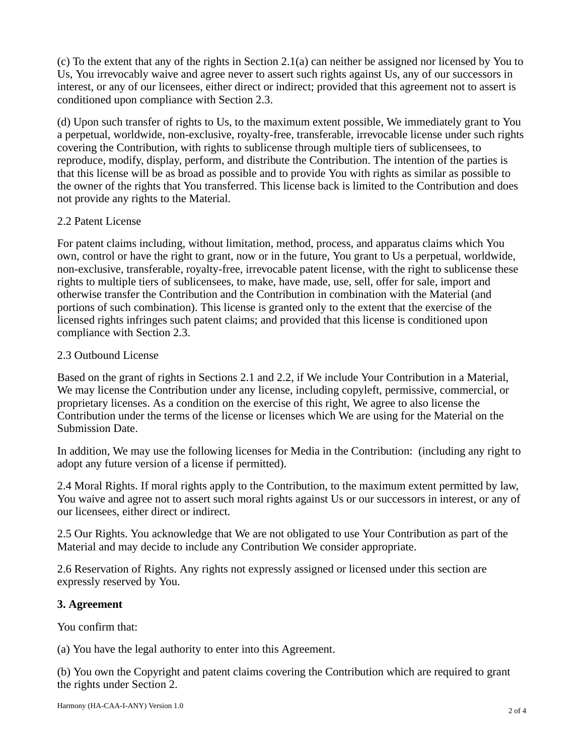(c) To the extent that any of the rights in Section 2.1(a) can neither be assigned nor licensed by You to Us, You irrevocably waive and agree never to assert such rights against Us, any of our successors in interest, or any of our licensees, either direct or indirect; provided that this agreement not to assert is conditioned upon compliance with Section 2.3.

(d) Upon such transfer of rights to Us, to the maximum extent possible, We immediately grant to You a perpetual, worldwide, non-exclusive, royalty-free, transferable, irrevocable license under such rights covering the Contribution, with rights to sublicense through multiple tiers of sublicensees, to reproduce, modify, display, perform, and distribute the Contribution. The intention of the parties is that this license will be as broad as possible and to provide You with rights as similar as possible to the owner of the rights that You transferred. This license back is limited to the Contribution and does not provide any rights to the Material.

## 2.2 Patent License

For patent claims including, without limitation, method, process, and apparatus claims which You own, control or have the right to grant, now or in the future, You grant to Us a perpetual, worldwide, non-exclusive, transferable, royalty-free, irrevocable patent license, with the right to sublicense these rights to multiple tiers of sublicensees, to make, have made, use, sell, offer for sale, import and otherwise transfer the Contribution and the Contribution in combination with the Material (and portions of such combination). This license is granted only to the extent that the exercise of the licensed rights infringes such patent claims; and provided that this license is conditioned upon compliance with Section 2.3.

## 2.3 Outbound License

Based on the grant of rights in Sections 2.1 and 2.2, if We include Your Contribution in a Material, We may license the Contribution under any license, including copyleft, permissive, commercial, or proprietary licenses. As a condition on the exercise of this right, We agree to also license the Contribution under the terms of the license or licenses which We are using for the Material on the Submission Date.

In addition, We may use the following licenses for Media in the Contribution: (including any right to adopt any future version of a license if permitted).

2.4 Moral Rights. If moral rights apply to the Contribution, to the maximum extent permitted by law, You waive and agree not to assert such moral rights against Us or our successors in interest, or any of our licensees, either direct or indirect.

2.5 Our Rights. You acknowledge that We are not obligated to use Your Contribution as part of the Material and may decide to include any Contribution We consider appropriate.

2.6 Reservation of Rights. Any rights not expressly assigned or licensed under this section are expressly reserved by You.

# **3. Agreement**

You confirm that:

(a) You have the legal authority to enter into this Agreement.

(b) You own the Copyright and patent claims covering the Contribution which are required to grant the rights under Section 2.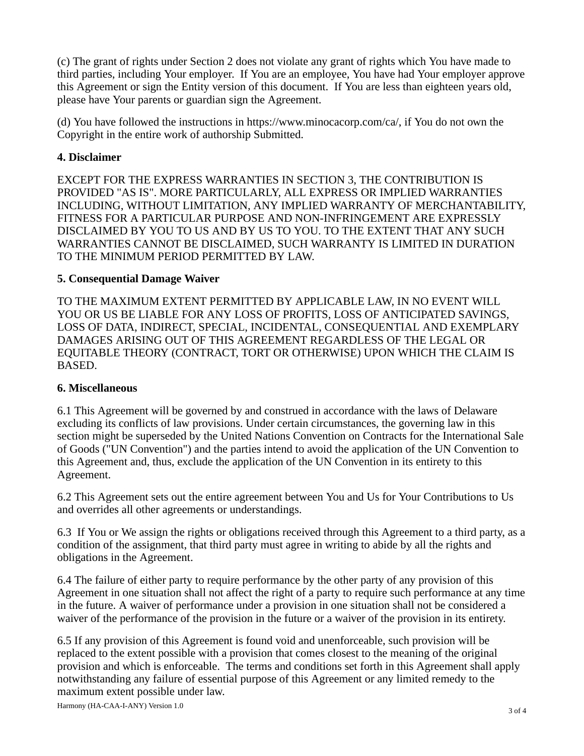(c) The grant of rights under Section 2 does not violate any grant of rights which You have made to third parties, including Your employer. If You are an employee, You have had Your employer approve this Agreement or sign the Entity version of this document. If You are less than eighteen years old, please have Your parents or guardian sign the Agreement.

(d) You have followed the instructions in https://www.minocacorp.com/ca/, if You do not own the Copyright in the entire work of authorship Submitted.

# **4. Disclaimer**

EXCEPT FOR THE EXPRESS WARRANTIES IN SECTION 3, THE CONTRIBUTION IS PROVIDED "AS IS". MORE PARTICULARLY, ALL EXPRESS OR IMPLIED WARRANTIES INCLUDING, WITHOUT LIMITATION, ANY IMPLIED WARRANTY OF MERCHANTABILITY, FITNESS FOR A PARTICULAR PURPOSE AND NON-INFRINGEMENT ARE EXPRESSLY DISCLAIMED BY YOU TO US AND BY US TO YOU. TO THE EXTENT THAT ANY SUCH WARRANTIES CANNOT BE DISCLAIMED, SUCH WARRANTY IS LIMITED IN DURATION TO THE MINIMUM PERIOD PERMITTED BY LAW.

# **5. Consequential Damage Waiver**

TO THE MAXIMUM EXTENT PERMITTED BY APPLICABLE LAW, IN NO EVENT WILL YOU OR US BE LIABLE FOR ANY LOSS OF PROFITS, LOSS OF ANTICIPATED SAVINGS, LOSS OF DATA, INDIRECT, SPECIAL, INCIDENTAL, CONSEQUENTIAL AND EXEMPLARY DAMAGES ARISING OUT OF THIS AGREEMENT REGARDLESS OF THE LEGAL OR EQUITABLE THEORY (CONTRACT, TORT OR OTHERWISE) UPON WHICH THE CLAIM IS BASED.

#### **6. Miscellaneous**

6.1 This Agreement will be governed by and construed in accordance with the laws of Delaware excluding its conflicts of law provisions. Under certain circumstances, the governing law in this section might be superseded by the United Nations Convention on Contracts for the International Sale of Goods ("UN Convention") and the parties intend to avoid the application of the UN Convention to this Agreement and, thus, exclude the application of the UN Convention in its entirety to this Agreement.

6.2 This Agreement sets out the entire agreement between You and Us for Your Contributions to Us and overrides all other agreements or understandings.

6.3 If You or We assign the rights or obligations received through this Agreement to a third party, as a condition of the assignment, that third party must agree in writing to abide by all the rights and obligations in the Agreement.

6.4 The failure of either party to require performance by the other party of any provision of this Agreement in one situation shall not affect the right of a party to require such performance at any time in the future. A waiver of performance under a provision in one situation shall not be considered a waiver of the performance of the provision in the future or a waiver of the provision in its entirety.

6.5 If any provision of this Agreement is found void and unenforceable, such provision will be replaced to the extent possible with a provision that comes closest to the meaning of the original provision and which is enforceable. The terms and conditions set forth in this Agreement shall apply notwithstanding any failure of essential purpose of this Agreement or any limited remedy to the maximum extent possible under law.